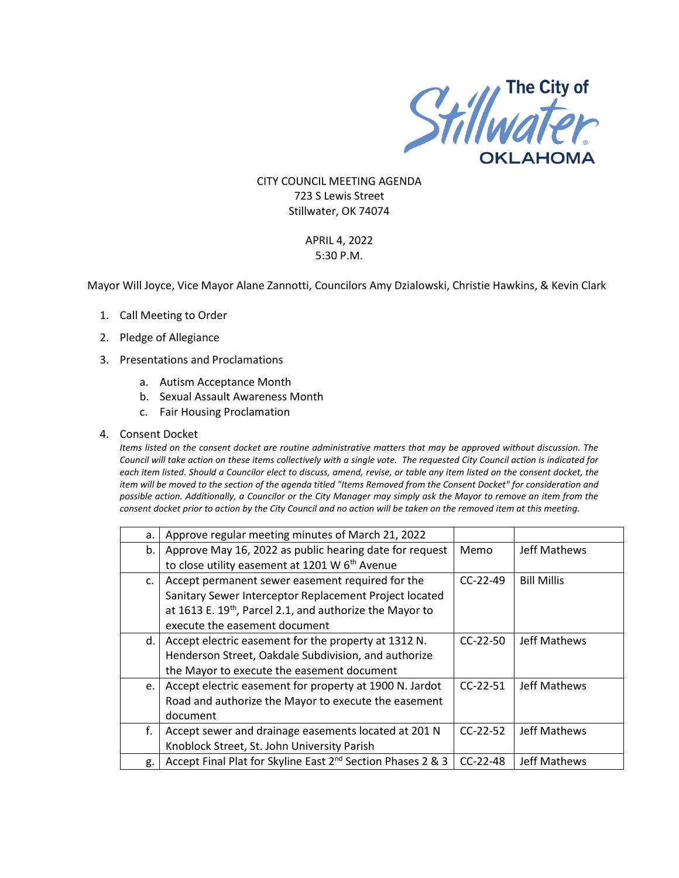

CITY COUNCIL MEETING AGENDA 723 S Lewis Street Stillwater, OK 74074

## APRIL 4, 2022 5:30 P.M.

Mayor Will Joyce, Vice Mayor Alane Zannotti, Councilors Amy Dzialowski, Christie Hawkins, & Kevin Clark

- 1. Call Meeting to Order
- 2. Pledge of Allegiance
- 3. Presentations and Proclamations
	- a. Autism Acceptance Month
	- b. Sexual Assault Awareness Month
	- c. Fair Housing Proclamation
- 4. Consent Docket

*Items listed on the consent docket are routine administrative matters that may be approved without discussion. The Council will take action on these items collectively with a single vote. The requested City Council action is indicated for each item listed. Should a Councilor elect to discuss, amend, revise, or table any item listed on the consent docket, the item will be moved to the section of the agenda titled "Items Removed from the Consent Docket" for consideration and possible action. Additionally, a Councilor or the City Manager may simply ask the Mayor to remove an item from the consent docket prior to action by the City Council and no action will be taken on the removed item at this meeting.*

| а. | Approve regular meeting minutes of March 21, 2022                       |            |                    |
|----|-------------------------------------------------------------------------|------------|--------------------|
| b. | Approve May 16, 2022 as public hearing date for request                 | Memo       | Jeff Mathews       |
|    | to close utility easement at 1201 W 6 <sup>th</sup> Avenue              |            |                    |
| c. | Accept permanent sewer easement required for the                        | $CC-22-49$ | <b>Bill Millis</b> |
|    | Sanitary Sewer Interceptor Replacement Project located                  |            |                    |
|    | at 1613 E. 19 <sup>th</sup> , Parcel 2.1, and authorize the Mayor to    |            |                    |
|    | execute the easement document                                           |            |                    |
| d. | Accept electric easement for the property at 1312 N.                    | $CC-22-50$ | Jeff Mathews       |
|    | Henderson Street, Oakdale Subdivision, and authorize                    |            |                    |
|    | the Mayor to execute the easement document                              |            |                    |
| e. | Accept electric easement for property at 1900 N. Jardot                 | $CC-22-51$ | Jeff Mathews       |
|    | Road and authorize the Mayor to execute the easement                    |            |                    |
|    | document                                                                |            |                    |
| f. | Accept sewer and drainage easements located at 201 N                    | $CC-22-52$ | Jeff Mathews       |
|    | Knoblock Street, St. John University Parish                             |            |                    |
| g. | Accept Final Plat for Skyline East 2 <sup>nd</sup> Section Phases 2 & 3 | $CC-22-48$ | Jeff Mathews       |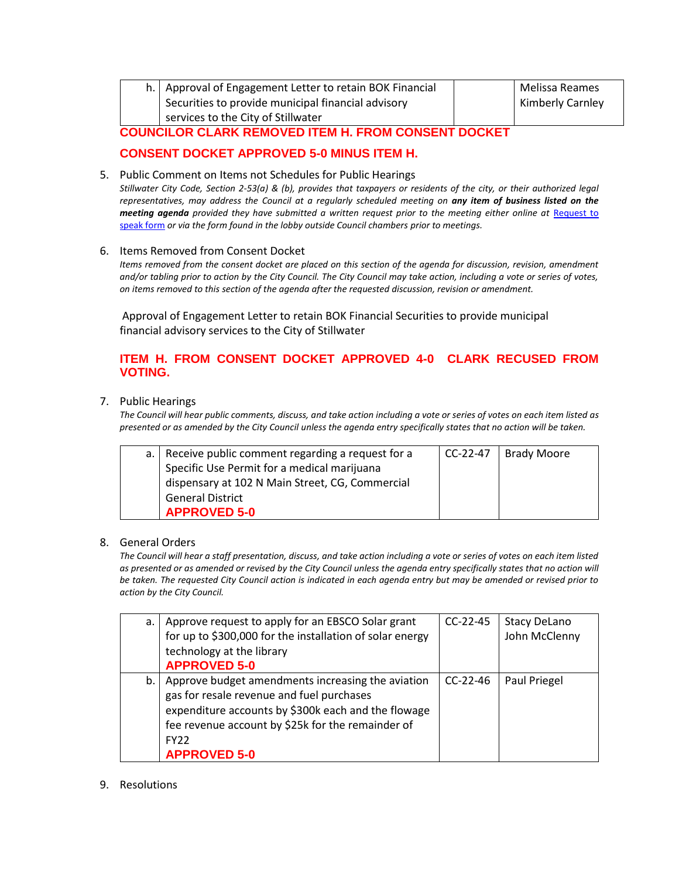|  | h.   Approval of Engagement Letter to retain BOK Financial |  | Melissa Reames          |
|--|------------------------------------------------------------|--|-------------------------|
|  | Securities to provide municipal financial advisory         |  | <b>Kimberly Carnley</b> |
|  | services to the City of Stillwater                         |  |                         |
|  |                                                            |  |                         |

**COUNCILOR CLARK REMOVED ITEM H. FROM CONSENT DOCKET**

## **CONSENT DOCKET APPROVED 5-0 MINUS ITEM H.**

5. Public Comment on Items not Schedules for Public Hearings *Stillwater City Code, Section 2-53(a) & (b), provides that taxpayers or residents of the city, or their authorized legal representatives, may address the Council at a regularly scheduled meeting on any item of business listed on the meeting agenda provided they have submitted a written request prior to the meeting either online at Request to* [speak form](http://stillwater.org/page/home/government/mayor-city-council/meetings-agendas-minutes/online-request-to-speak-at-city-council) *or via the form found in the lobby outside Council chambers prior to meetings.*

#### 6. Items Removed from Consent Docket

*Items removed from the consent docket are placed on this section of the agenda for discussion, revision, amendment and/or tabling prior to action by the City Council. The City Council may take action, including a vote or series of votes, on items removed to this section of the agenda after the requested discussion, revision or amendment.*

Approval of Engagement Letter to retain BOK Financial Securities to provide municipal financial advisory services to the City of Stillwater

## **ITEM H. FROM CONSENT DOCKET APPROVED 4-0 CLARK RECUSED FROM VOTING.**

#### 7. Public Hearings

*The Council will hear public comments, discuss, and take action including a vote or series of votes on each item listed as presented or as amended by the City Council unless the agenda entry specifically states that no action will be taken.*

| a.   Receive public comment regarding a request for a | CC-22-47 | <b>Brady Moore</b> |
|-------------------------------------------------------|----------|--------------------|
| Specific Use Permit for a medical marijuana           |          |                    |
| dispensary at 102 N Main Street, CG, Commercial       |          |                    |
| <b>General District</b>                               |          |                    |
| <b>APPROVED 5-0</b>                                   |          |                    |

### 8. General Orders

*The Council will hear a staff presentation, discuss, and take action including a vote or series of votes on each item listed as presented or as amended or revised by the City Council unless the agenda entry specifically states that no action will be taken. The requested City Council action is indicated in each agenda entry but may be amended or revised prior to action by the City Council.* 

| а. | Approve request to apply for an EBSCO Solar grant<br>for up to \$300,000 for the installation of solar energy<br>technology at the library<br><b>APPROVED 5-0</b>                                                                                     | $CC-22-45$ | <b>Stacy DeLano</b><br>John McClenny |
|----|-------------------------------------------------------------------------------------------------------------------------------------------------------------------------------------------------------------------------------------------------------|------------|--------------------------------------|
| b. | Approve budget amendments increasing the aviation<br>gas for resale revenue and fuel purchases<br>expenditure accounts by \$300k each and the flowage<br>fee revenue account by \$25k for the remainder of<br>FY <sub>22</sub><br><b>APPROVED 5-0</b> | $CC-22-46$ | Paul Priegel                         |

### 9. Resolutions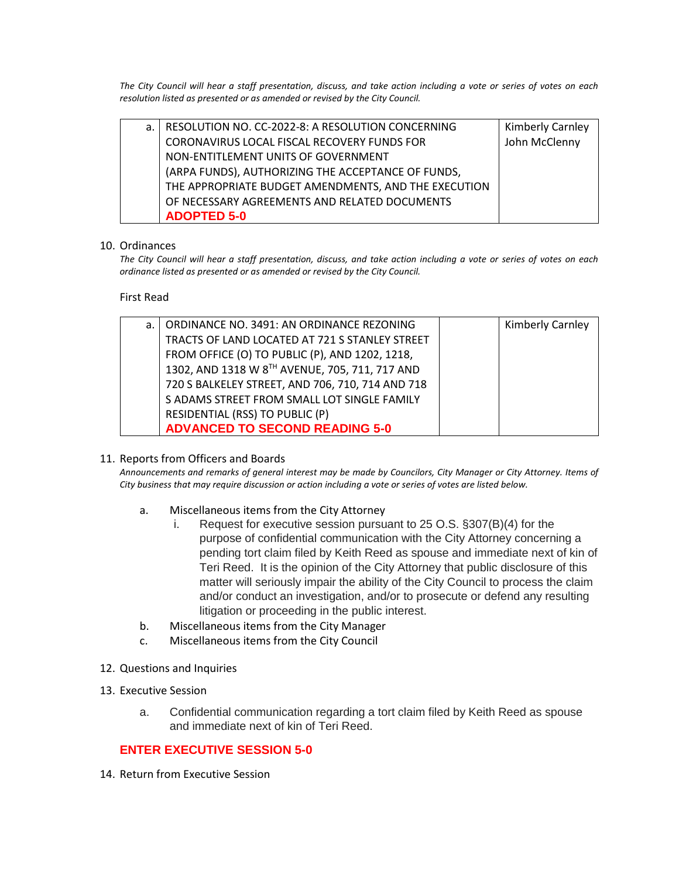*The City Council will hear a staff presentation, discuss, and take action including a vote or series of votes on each resolution listed as presented or as amended or revised by the City Council.* 

| a.   RESOLUTION NO. CC-2022-8: A RESOLUTION CONCERNING | <b>Kimberly Carnley</b> |
|--------------------------------------------------------|-------------------------|
| CORONAVIRUS LOCAL FISCAL RECOVERY FUNDS FOR            | John McClenny           |
| NON-ENTITLEMENT UNITS OF GOVERNMENT                    |                         |
| (ARPA FUNDS), AUTHORIZING THE ACCEPTANCE OF FUNDS,     |                         |
| THE APPROPRIATE BUDGET AMENDMENTS, AND THE EXECUTION   |                         |
| OF NECESSARY AGREEMENTS AND RELATED DOCUMENTS          |                         |
| <b>ADOPTED 5-0</b>                                     |                         |

#### 10. Ordinances

*The City Council will hear a staff presentation, discuss, and take action including a vote or series of votes on each ordinance listed as presented or as amended or revised by the City Council.*

First Read

| а. | ORDINANCE NO. 3491: AN ORDINANCE REZONING        | Kimberly Carnley |
|----|--------------------------------------------------|------------------|
|    | TRACTS OF LAND LOCATED AT 721 S STANLEY STREET   |                  |
|    | FROM OFFICE (O) TO PUBLIC (P), AND 1202, 1218,   |                  |
|    | 1302, AND 1318 W 8TH AVENUE, 705, 711, 717 AND   |                  |
|    | 720 S BALKELEY STREET, AND 706, 710, 714 AND 718 |                  |
|    | S ADAMS STREET FROM SMALL LOT SINGLE FAMILY      |                  |
|    | RESIDENTIAL (RSS) TO PUBLIC (P)                  |                  |
|    | <b>ADVANCED TO SECOND READING 5-0</b>            |                  |

#### 11. Reports from Officers and Boards

*Announcements and remarks of general interest may be made by Councilors, City Manager or City Attorney. Items of City business that may require discussion or action including a vote or series of votes are listed below.*

- a. Miscellaneous items from the City Attorney
	- i. Request for executive session pursuant to 25 O.S. §307(B)(4) for the purpose of confidential communication with the City Attorney concerning a pending tort claim filed by Keith Reed as spouse and immediate next of kin of Teri Reed. It is the opinion of the City Attorney that public disclosure of this matter will seriously impair the ability of the City Council to process the claim and/or conduct an investigation, and/or to prosecute or defend any resulting litigation or proceeding in the public interest.
- b. Miscellaneous items from the City Manager
- c. Miscellaneous items from the City Council
- 12. Questions and Inquiries
- 13. Executive Session
	- a. Confidential communication regarding a tort claim filed by Keith Reed as spouse and immediate next of kin of Teri Reed.

### **ENTER EXECUTIVE SESSION 5-0**

14. Return from Executive Session